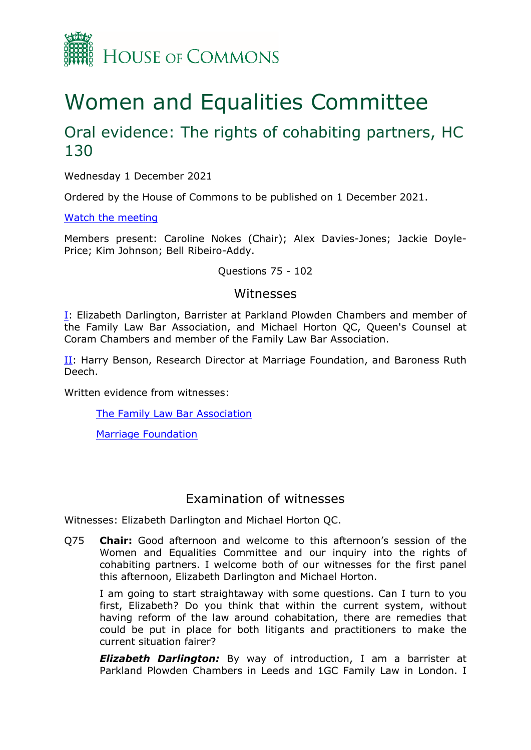

# Women and Equalities Committee

# Oral evidence: The rights of cohabiting partners, HC 130

Wednesday 1 December 2021

Ordered by the House of Commons to be published on 1 December 2021.

[Watch](https://www.parliamentlive.tv/Event/Index/097faeae-599e-4b10-aa64-c81a425e8383) [the](https://www.parliamentlive.tv/Event/Index/097faeae-599e-4b10-aa64-c81a425e8383) [meeting](https://www.parliamentlive.tv/Event/Index/097faeae-599e-4b10-aa64-c81a425e8383)

Members present: Caroline Nokes (Chair); Alex Davies-Jones; Jackie Doyle-Price; Kim Johnson; Bell Ribeiro-Addy.

#### Questions 75 - 102

### Witnesses

[I:](#page-0-0) Elizabeth Darlington, Barrister at Parkland Plowden Chambers and member of the Family Law Bar Association, and Michael Horton QC, Queen's Counsel at Coram Chambers and member of the Family Law Bar Association.

II: Harry Benson, Research Director at Marriage Foundation, and Baroness Ruth Deech.

Written evidence from witnesses:

[The](https://committees.parliament.uk/writtenevidence/37658/pdf/) [Family](https://committees.parliament.uk/writtenevidence/37658/pdf/) [Law](https://committees.parliament.uk/writtenevidence/37658/pdf/) [Bar](https://committees.parliament.uk/writtenevidence/37658/pdf/) [Association](https://committees.parliament.uk/writtenevidence/37658/pdf/)

[Marriage](https://committees.parliament.uk/writtenevidence/36943/pdf/) [Foundation](https://committees.parliament.uk/writtenevidence/36943/pdf/)

## <span id="page-0-0"></span>Examination of witnesses

Witnesses: Elizabeth Darlington and Michael Horton QC.

Q75 **Chair:** Good afternoon and welcome to this afternoon's session of the Women and Equalities Committee and our inquiry into the rights of cohabiting partners. I welcome both of our witnesses for the first panel this afternoon, Elizabeth Darlington and Michael Horton.

I am going to start straightaway with some questions. Can I turn to you first, Elizabeth? Do you think that within the current system, without having reform of the law around cohabitation, there are remedies that could be put in place for both litigants and practitioners to make the current situation fairer?

*Elizabeth Darlington:* By way of introduction, I am a barrister at Parkland Plowden Chambers in Leeds and 1GC Family Law in London. I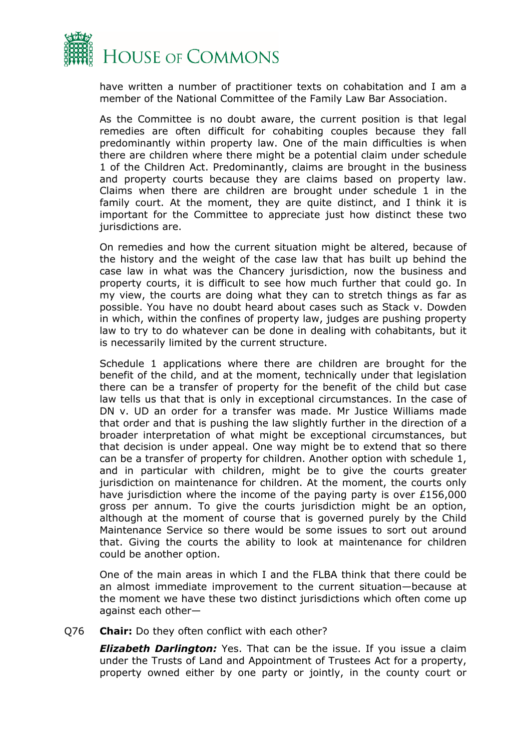

have written a number of practitioner texts on cohabitation and I am a member of the National Committee of the Family Law Bar Association.

As the Committee is no doubt aware, the current position is that legal remedies are often difficult for cohabiting couples because they fall predominantly within property law. One of the main difficulties is when there are children where there might be a potential claim under schedule 1 of the Children Act. Predominantly, claims are brought in the business and property courts because they are claims based on property law. Claims when there are children are brought under schedule 1 in the family court. At the moment, they are quite distinct, and I think it is important for the Committee to appreciate just how distinct these two jurisdictions are.

On remedies and how the current situation might be altered, because of the history and the weight of the case law that has built up behind the case law in what was the Chancery jurisdiction, now the business and property courts, it is difficult to see how much further that could go. In my view, the courts are doing what they can to stretch things as far as possible. You have no doubt heard about cases such as Stack v. Dowden in which, within the confines of property law, judges are pushing property law to try to do whatever can be done in dealing with cohabitants, but it is necessarily limited by the current structure.

Schedule 1 applications where there are children are brought for the benefit of the child, and at the moment, technically under that legislation there can be a transfer of property for the benefit of the child but case law tells us that that is only in exceptional circumstances. In the case of DN v. UD an order for a transfer was made. Mr Justice Williams made that order and that is pushing the law slightly further in the direction of a broader interpretation of what might be exceptional circumstances, but that decision is under appeal. One way might be to extend that so there can be a transfer of property for children. Another option with schedule 1, and in particular with children, might be to give the courts greater jurisdiction on maintenance for children. At the moment, the courts only have jurisdiction where the income of the paying party is over £156,000 gross per annum. To give the courts jurisdiction might be an option, although at the moment of course that is governed purely by the Child Maintenance Service so there would be some issues to sort out around that. Giving the courts the ability to look at maintenance for children could be another option.

One of the main areas in which I and the FLBA think that there could be an almost immediate improvement to the current situation—because at the moment we have these two distinct jurisdictions which often come up against each other—

#### Q76 **Chair:** Do they often conflict with each other?

*Elizabeth Darlington:* Yes. That can be the issue. If you issue a claim under the Trusts of Land and Appointment of Trustees Act for a property, property owned either by one party or jointly, in the county court or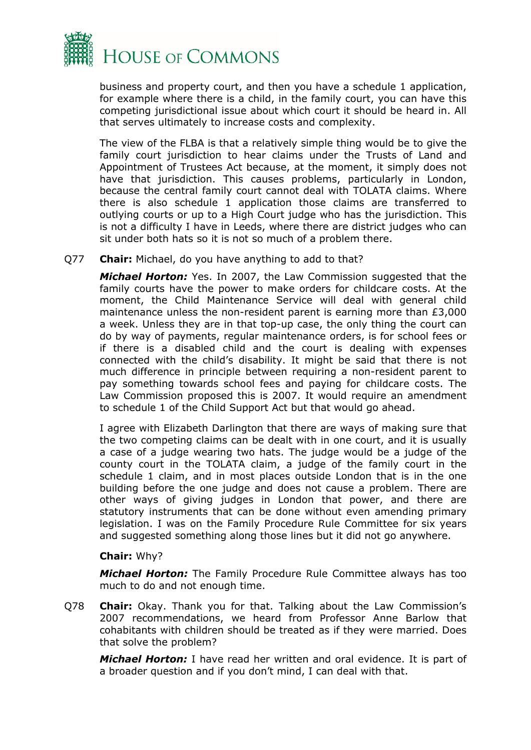

business and property court, and then you have a schedule 1 application, for example where there is a child, in the family court, you can have this competing jurisdictional issue about which court it should be heard in. All that serves ultimately to increase costs and complexity.

The view of the FLBA is that a relatively simple thing would be to give the family court jurisdiction to hear claims under the Trusts of Land and Appointment of Trustees Act because, at the moment, it simply does not have that jurisdiction. This causes problems, particularly in London, because the central family court cannot deal with TOLATA claims. Where there is also schedule 1 application those claims are transferred to outlying courts or up to a High Court judge who has the jurisdiction. This is not a difficulty I have in Leeds, where there are district judges who can sit under both hats so it is not so much of a problem there.

Q77 **Chair:** Michael, do you have anything to add to that?

*Michael Horton:* Yes. In 2007, the Law Commission suggested that the family courts have the power to make orders for childcare costs. At the moment, the Child Maintenance Service will deal with general child maintenance unless the non-resident parent is earning more than £3,000 a week. Unless they are in that top-up case, the only thing the court can do by way of payments, regular maintenance orders, is for school fees or if there is a disabled child and the court is dealing with expenses connected with the child's disability. It might be said that there is not much difference in principle between requiring a non-resident parent to pay something towards school fees and paying for childcare costs. The Law Commission proposed this is 2007. It would require an amendment to schedule 1 of the Child Support Act but that would go ahead.

I agree with Elizabeth Darlington that there are ways of making sure that the two competing claims can be dealt with in one court, and it is usually a case of a judge wearing two hats. The judge would be a judge of the county court in the TOLATA claim, a judge of the family court in the schedule 1 claim, and in most places outside London that is in the one building before the one judge and does not cause a problem. There are other ways of giving judges in London that power, and there are statutory instruments that can be done without even amending primary legislation. I was on the Family Procedure Rule Committee for six years and suggested something along those lines but it did not go anywhere.

#### **Chair:** Why?

*Michael Horton:* The Family Procedure Rule Committee always has too much to do and not enough time.

Q78 **Chair:** Okay. Thank you for that. Talking about the Law Commission's 2007 recommendations, we heard from Professor Anne Barlow that cohabitants with children should be treated as if they were married. Does that solve the problem?

*Michael Horton:* I have read her written and oral evidence. It is part of a broader question and if you don't mind, I can deal with that.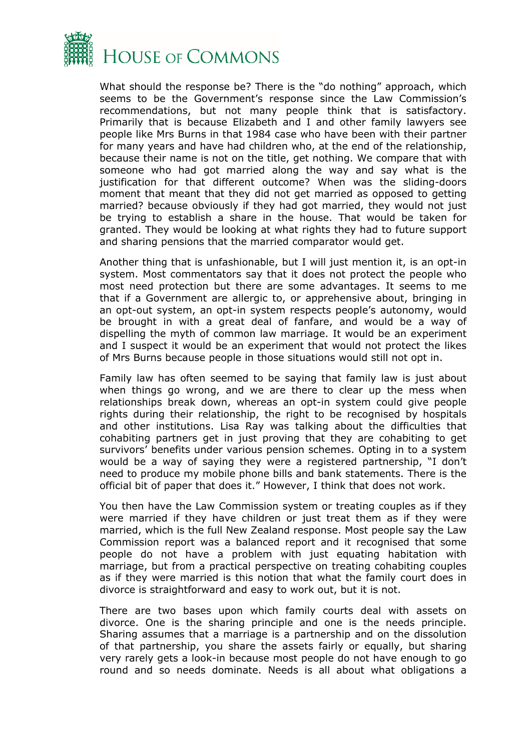

What should the response be? There is the "do nothing" approach, which seems to be the Government's response since the Law Commission's recommendations, but not many people think that is satisfactory. Primarily that is because Elizabeth and I and other family lawyers see people like Mrs Burns in that 1984 case who have been with their partner for many years and have had children who, at the end of the relationship, because their name is not on the title, get nothing. We compare that with someone who had got married along the way and say what is the justification for that different outcome? When was the sliding-doors moment that meant that they did not get married as opposed to getting married? because obviously if they had got married, they would not just be trying to establish a share in the house. That would be taken for granted. They would be looking at what rights they had to future support and sharing pensions that the married comparator would get.

Another thing that is unfashionable, but I will just mention it, is an opt-in system. Most commentators say that it does not protect the people who most need protection but there are some advantages. It seems to me that if a Government are allergic to, or apprehensive about, bringing in an opt-out system, an opt-in system respects people's autonomy, would be brought in with a great deal of fanfare, and would be a way of dispelling the myth of common law marriage. It would be an experiment and I suspect it would be an experiment that would not protect the likes of Mrs Burns because people in those situations would still not opt in.

Family law has often seemed to be saying that family law is just about when things go wrong, and we are there to clear up the mess when relationships break down, whereas an opt-in system could give people rights during their relationship, the right to be recognised by hospitals and other institutions. Lisa Ray was talking about the difficulties that cohabiting partners get in just proving that they are cohabiting to get survivors' benefits under various pension schemes. Opting in to a system would be a way of saying they were a registered partnership, "I don't need to produce my mobile phone bills and bank statements. There is the official bit of paper that does it." However, I think that does not work.

You then have the Law Commission system or treating couples as if they were married if they have children or just treat them as if they were married, which is the full New Zealand response. Most people say the Law Commission report was a balanced report and it recognised that some people do not have a problem with just equating habitation with marriage, but from a practical perspective on treating cohabiting couples as if they were married is this notion that what the family court does in divorce is straightforward and easy to work out, but it is not.

There are two bases upon which family courts deal with assets on divorce. One is the sharing principle and one is the needs principle. Sharing assumes that a marriage is a partnership and on the dissolution of that partnership, you share the assets fairly or equally, but sharing very rarely gets a look-in because most people do not have enough to go round and so needs dominate. Needs is all about what obligations a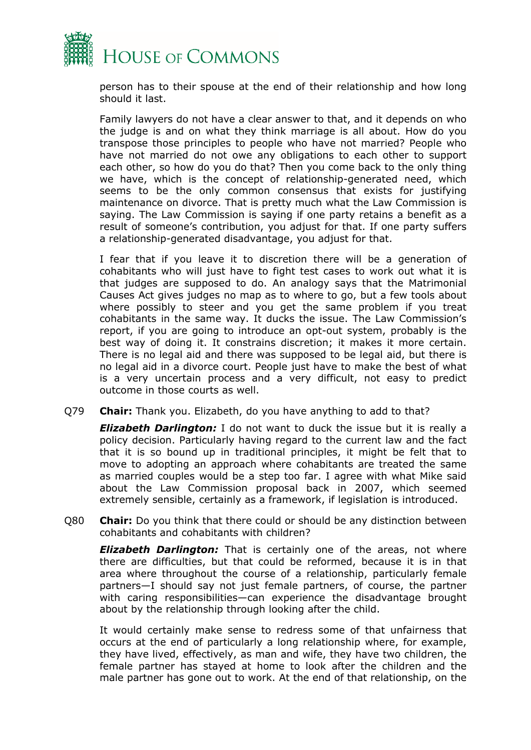

person has to their spouse at the end of their relationship and how long should it last.

Family lawyers do not have a clear answer to that, and it depends on who the judge is and on what they think marriage is all about. How do you transpose those principles to people who have not married? People who have not married do not owe any obligations to each other to support each other, so how do you do that? Then you come back to the only thing we have, which is the concept of relationship-generated need, which seems to be the only common consensus that exists for justifying maintenance on divorce. That is pretty much what the Law Commission is saying. The Law Commission is saying if one party retains a benefit as a result of someone's contribution, you adjust for that. If one party suffers a relationship-generated disadvantage, you adjust for that.

I fear that if you leave it to discretion there will be a generation of cohabitants who will just have to fight test cases to work out what it is that judges are supposed to do. An analogy says that the Matrimonial Causes Act gives judges no map as to where to go, but a few tools about where possibly to steer and you get the same problem if you treat cohabitants in the same way. It ducks the issue. The Law Commission's report, if you are going to introduce an opt-out system, probably is the best way of doing it. It constrains discretion; it makes it more certain. There is no legal aid and there was supposed to be legal aid, but there is no legal aid in a divorce court. People just have to make the best of what is a very uncertain process and a very difficult, not easy to predict outcome in those courts as well.

Q79 **Chair:** Thank you. Elizabeth, do you have anything to add to that?

*Elizabeth Darlington:* I do not want to duck the issue but it is really a policy decision. Particularly having regard to the current law and the fact that it is so bound up in traditional principles, it might be felt that to move to adopting an approach where cohabitants are treated the same as married couples would be a step too far. I agree with what Mike said about the Law Commission proposal back in 2007, which seemed extremely sensible, certainly as a framework, if legislation is introduced.

Q80 **Chair:** Do you think that there could or should be any distinction between cohabitants and cohabitants with children?

*Elizabeth Darlington:* That is certainly one of the areas, not where there are difficulties, but that could be reformed, because it is in that area where throughout the course of a relationship, particularly female partners—I should say not just female partners, of course, the partner with caring responsibilities—can experience the disadvantage brought about by the relationship through looking after the child.

It would certainly make sense to redress some of that unfairness that occurs at the end of particularly a long relationship where, for example, they have lived, effectively, as man and wife, they have two children, the female partner has stayed at home to look after the children and the male partner has gone out to work. At the end of that relationship, on the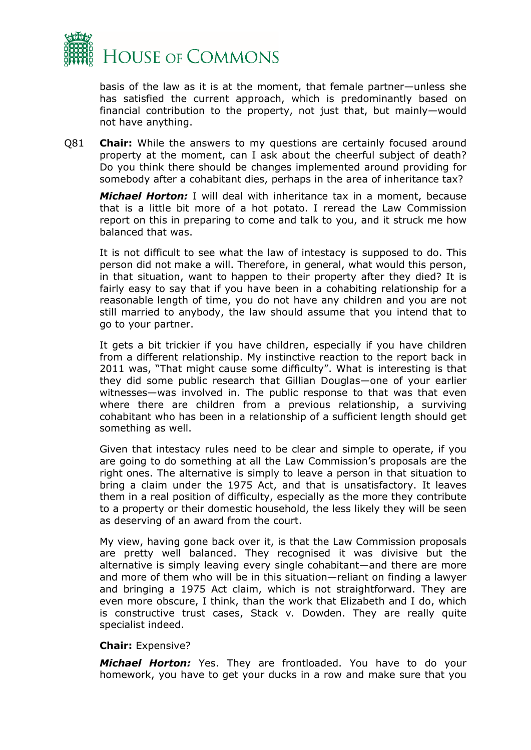

basis of the law as it is at the moment, that female partner—unless she has satisfied the current approach, which is predominantly based on financial contribution to the property, not just that, but mainly—would not have anything.

Q81 **Chair:** While the answers to my questions are certainly focused around property at the moment, can I ask about the cheerful subject of death? Do you think there should be changes implemented around providing for somebody after a cohabitant dies, perhaps in the area of inheritance tax?

*Michael Horton:* I will deal with inheritance tax in a moment, because that is a little bit more of a hot potato. I reread the Law Commission report on this in preparing to come and talk to you, and it struck me how balanced that was.

It is not difficult to see what the law of intestacy is supposed to do. This person did not make a will. Therefore, in general, what would this person, in that situation, want to happen to their property after they died? It is fairly easy to say that if you have been in a cohabiting relationship for a reasonable length of time, you do not have any children and you are not still married to anybody, the law should assume that you intend that to go to your partner.

It gets a bit trickier if you have children, especially if you have children from a different relationship. My instinctive reaction to the report back in 2011 was, "That might cause some difficulty". What is interesting is that they did some public research that Gillian Douglas—one of your earlier witnesses—was involved in. The public response to that was that even where there are children from a previous relationship, a surviving cohabitant who has been in a relationship of a sufficient length should get something as well.

Given that intestacy rules need to be clear and simple to operate, if you are going to do something at all the Law Commission's proposals are the right ones. The alternative is simply to leave a person in that situation to bring a claim under the 1975 Act, and that is unsatisfactory. It leaves them in a real position of difficulty, especially as the more they contribute to a property or their domestic household, the less likely they will be seen as deserving of an award from the court.

My view, having gone back over it, is that the Law Commission proposals are pretty well balanced. They recognised it was divisive but the alternative is simply leaving every single cohabitant—and there are more and more of them who will be in this situation—reliant on finding a lawyer and bringing a 1975 Act claim, which is not straightforward. They are even more obscure, I think, than the work that Elizabeth and I do, which is constructive trust cases, Stack v*.* Dowden. They are really quite specialist indeed.

#### **Chair:** Expensive?

*Michael Horton:* Yes. They are frontloaded. You have to do your homework, you have to get your ducks in a row and make sure that you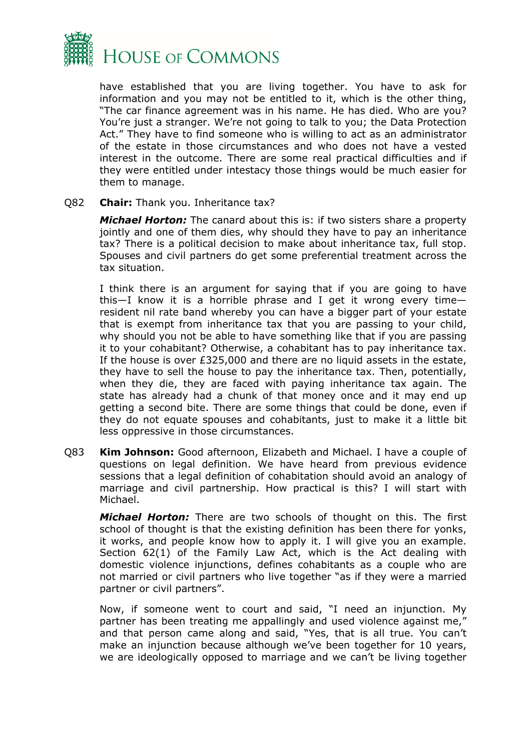

have established that you are living together. You have to ask for information and you may not be entitled to it, which is the other thing, "The car finance agreement was in his name. He has died. Who are you? You're just a stranger. We're not going to talk to you; the Data Protection Act." They have to find someone who is willing to act as an administrator of the estate in those circumstances and who does not have a vested interest in the outcome. There are some real practical difficulties and if they were entitled under intestacy those things would be much easier for them to manage.

#### Q82 **Chair:** Thank you. Inheritance tax?

*Michael Horton:* The canard about this is: if two sisters share a property jointly and one of them dies, why should they have to pay an inheritance tax? There is a political decision to make about inheritance tax, full stop. Spouses and civil partners do get some preferential treatment across the tax situation.

I think there is an argument for saying that if you are going to have this—I know it is a horrible phrase and I get it wrong every time resident nil rate band whereby you can have a bigger part of your estate that is exempt from inheritance tax that you are passing to your child, why should you not be able to have something like that if you are passing it to your cohabitant? Otherwise, a cohabitant has to pay inheritance tax. If the house is over £325,000 and there are no liquid assets in the estate, they have to sell the house to pay the inheritance tax. Then, potentially, when they die, they are faced with paying inheritance tax again. The state has already had a chunk of that money once and it may end up getting a second bite. There are some things that could be done, even if they do not equate spouses and cohabitants, just to make it a little bit less oppressive in those circumstances.

Q83 **Kim Johnson:** Good afternoon, Elizabeth and Michael. I have a couple of questions on legal definition. We have heard from previous evidence sessions that a legal definition of cohabitation should avoid an analogy of marriage and civil partnership. How practical is this? I will start with Michael.

*Michael Horton:* There are two schools of thought on this. The first school of thought is that the existing definition has been there for yonks, it works, and people know how to apply it. I will give you an example. Section 62(1) of the Family Law Act, which is the Act dealing with domestic violence injunctions, defines cohabitants as a couple who are not married or civil partners who live together "as if they were a married partner or civil partners".

Now, if someone went to court and said, "I need an injunction. My partner has been treating me appallingly and used violence against me," and that person came along and said, "Yes, that is all true. You can't make an injunction because although we've been together for 10 years, we are ideologically opposed to marriage and we can't be living together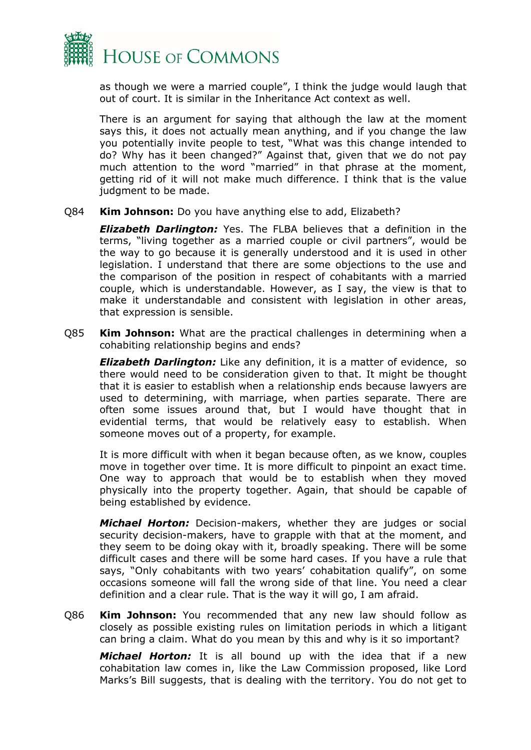

as though we were a married couple", I think the judge would laugh that out of court. It is similar in the Inheritance Act context as well.

There is an argument for saying that although the law at the moment says this, it does not actually mean anything, and if you change the law you potentially invite people to test, "What was this change intended to do? Why has it been changed?" Against that, given that we do not pay much attention to the word "married" in that phrase at the moment, getting rid of it will not make much difference. I think that is the value judgment to be made.

Q84 **Kim Johnson:** Do you have anything else to add, Elizabeth?

*Elizabeth Darlington:* Yes. The FLBA believes that a definition in the terms, "living together as a married couple or civil partners", would be the way to go because it is generally understood and it is used in other legislation. I understand that there are some objections to the use and the comparison of the position in respect of cohabitants with a married couple, which is understandable. However, as I say, the view is that to make it understandable and consistent with legislation in other areas, that expression is sensible.

Q85 **Kim Johnson:** What are the practical challenges in determining when a cohabiting relationship begins and ends?

*Elizabeth Darlington:* Like any definition, it is a matter of evidence, so there would need to be consideration given to that. It might be thought that it is easier to establish when a relationship ends because lawyers are used to determining, with marriage, when parties separate. There are often some issues around that, but I would have thought that in evidential terms, that would be relatively easy to establish. When someone moves out of a property, for example.

It is more difficult with when it began because often, as we know, couples move in together over time. It is more difficult to pinpoint an exact time. One way to approach that would be to establish when they moved physically into the property together. Again, that should be capable of being established by evidence.

*Michael Horton:* Decision-makers, whether they are judges or social security decision-makers, have to grapple with that at the moment, and they seem to be doing okay with it, broadly speaking. There will be some difficult cases and there will be some hard cases. If you have a rule that says, "Only cohabitants with two years' cohabitation qualify", on some occasions someone will fall the wrong side of that line. You need a clear definition and a clear rule. That is the way it will go, I am afraid.

Q86 **Kim Johnson:** You recommended that any new law should follow as closely as possible existing rules on limitation periods in which a litigant can bring a claim. What do you mean by this and why is it so important?

*Michael Horton:* It is all bound up with the idea that if a new cohabitation law comes in, like the Law Commission proposed, like Lord Marks's Bill suggests, that is dealing with the territory. You do not get to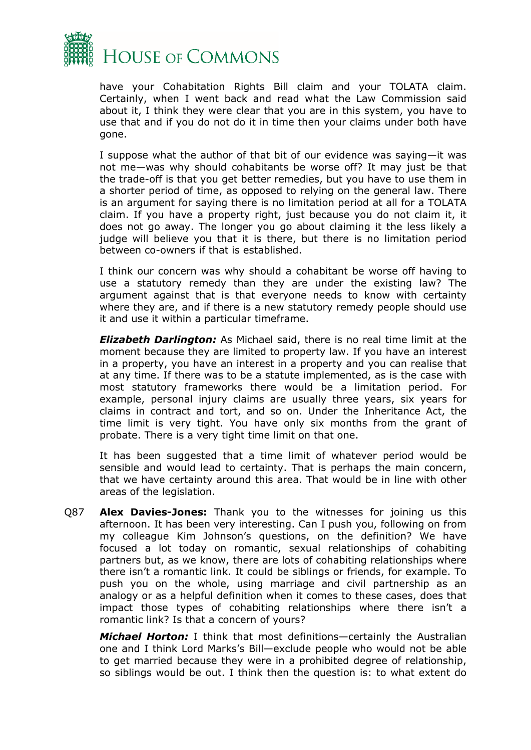

have your Cohabitation Rights Bill claim and your TOLATA claim. Certainly, when I went back and read what the Law Commission said about it, I think they were clear that you are in this system, you have to use that and if you do not do it in time then your claims under both have gone.

I suppose what the author of that bit of our evidence was saying—it was not me—was why should cohabitants be worse off? It may just be that the trade-off is that you get better remedies, but you have to use them in a shorter period of time, as opposed to relying on the general law. There is an argument for saying there is no limitation period at all for a TOLATA claim. If you have a property right, just because you do not claim it, it does not go away. The longer you go about claiming it the less likely a judge will believe you that it is there, but there is no limitation period between co-owners if that is established.

I think our concern was why should a cohabitant be worse off having to use a statutory remedy than they are under the existing law? The argument against that is that everyone needs to know with certainty where they are, and if there is a new statutory remedy people should use it and use it within a particular timeframe.

*Elizabeth Darlington:* As Michael said, there is no real time limit at the moment because they are limited to property law. If you have an interest in a property, you have an interest in a property and you can realise that at any time. If there was to be a statute implemented, as is the case with most statutory frameworks there would be a limitation period. For example, personal injury claims are usually three years, six years for claims in contract and tort, and so on. Under the Inheritance Act, the time limit is very tight. You have only six months from the grant of probate. There is a very tight time limit on that one.

It has been suggested that a time limit of whatever period would be sensible and would lead to certainty. That is perhaps the main concern, that we have certainty around this area. That would be in line with other areas of the legislation.

Q87 **Alex Davies-Jones:** Thank you to the witnesses for joining us this afternoon. It has been very interesting. Can I push you, following on from my colleague Kim Johnson's questions, on the definition? We have focused a lot today on romantic, sexual relationships of cohabiting partners but, as we know, there are lots of cohabiting relationships where there isn't a romantic link. It could be siblings or friends, for example. To push you on the whole, using marriage and civil partnership as an analogy or as a helpful definition when it comes to these cases, does that impact those types of cohabiting relationships where there isn't a romantic link? Is that a concern of yours?

*Michael Horton:* I think that most definitions—certainly the Australian one and I think Lord Marks's Bill—exclude people who would not be able to get married because they were in a prohibited degree of relationship, so siblings would be out. I think then the question is: to what extent do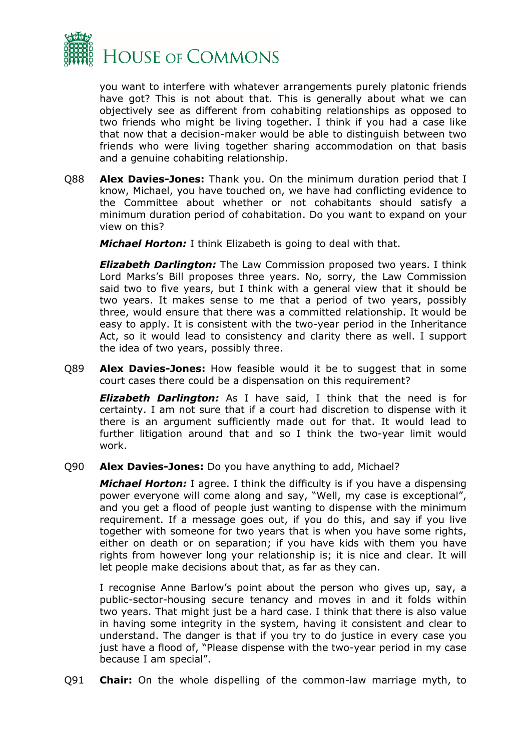

you want to interfere with whatever arrangements purely platonic friends have got? This is not about that. This is generally about what we can objectively see as different from cohabiting relationships as opposed to two friends who might be living together. I think if you had a case like that now that a decision-maker would be able to distinguish between two friends who were living together sharing accommodation on that basis and a genuine cohabiting relationship.

Q88 **Alex Davies-Jones:** Thank you. On the minimum duration period that I know, Michael, you have touched on, we have had conflicting evidence to the Committee about whether or not cohabitants should satisfy a minimum duration period of cohabitation. Do you want to expand on your view on this?

*Michael Horton:* I think Elizabeth is going to deal with that.

*Elizabeth Darlington:* The Law Commission proposed two years. I think Lord Marks's Bill proposes three years. No, sorry, the Law Commission said two to five years, but I think with a general view that it should be two years. It makes sense to me that a period of two years, possibly three, would ensure that there was a committed relationship. It would be easy to apply. It is consistent with the two-year period in the Inheritance Act, so it would lead to consistency and clarity there as well. I support the idea of two years, possibly three.

Q89 **Alex Davies-Jones:** How feasible would it be to suggest that in some court cases there could be a dispensation on this requirement?

*Elizabeth Darlington:* As I have said, I think that the need is for certainty. I am not sure that if a court had discretion to dispense with it there is an argument sufficiently made out for that. It would lead to further litigation around that and so I think the two-year limit would work.

Q90 **Alex Davies-Jones:** Do you have anything to add, Michael?

*Michael Horton:* I agree. I think the difficulty is if you have a dispensing power everyone will come along and say, "Well, my case is exceptional", and you get a flood of people just wanting to dispense with the minimum requirement. If a message goes out, if you do this, and say if you live together with someone for two years that is when you have some rights, either on death or on separation; if you have kids with them you have rights from however long your relationship is; it is nice and clear. It will let people make decisions about that, as far as they can.

I recognise Anne Barlow's point about the person who gives up, say, a public-sector-housing secure tenancy and moves in and it folds within two years. That might just be a hard case. I think that there is also value in having some integrity in the system, having it consistent and clear to understand. The danger is that if you try to do justice in every case you just have a flood of, "Please dispense with the two-year period in my case because I am special".

Q91 **Chair:** On the whole dispelling of the common-law marriage myth, to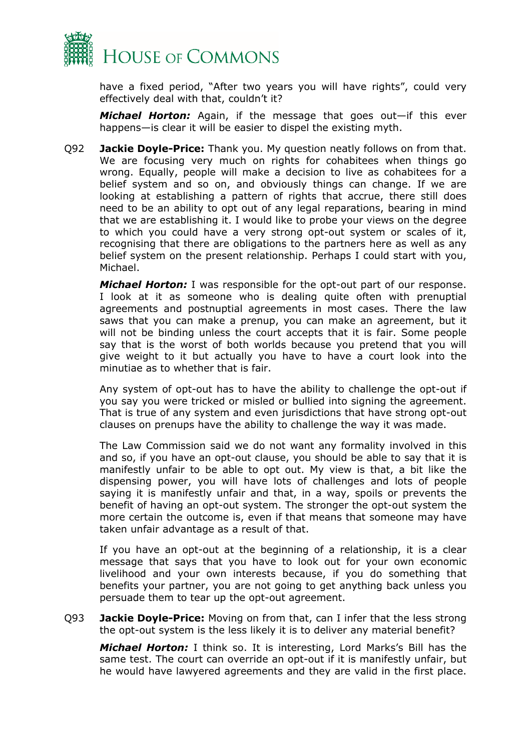

have a fixed period, "After two years you will have rights", could very effectively deal with that, couldn't it?

*Michael Horton:* Again, if the message that goes out—if this ever happens—is clear it will be easier to dispel the existing myth.

Q92 **Jackie Doyle-Price:** Thank you. My question neatly follows on from that. We are focusing very much on rights for cohabitees when things go wrong. Equally, people will make a decision to live as cohabitees for a belief system and so on, and obviously things can change. If we are looking at establishing a pattern of rights that accrue, there still does need to be an ability to opt out of any legal reparations, bearing in mind that we are establishing it. I would like to probe your views on the degree to which you could have a very strong opt-out system or scales of it, recognising that there are obligations to the partners here as well as any belief system on the present relationship. Perhaps I could start with you, Michael.

*Michael Horton:* I was responsible for the opt-out part of our response. I look at it as someone who is dealing quite often with prenuptial agreements and postnuptial agreements in most cases. There the law saws that you can make a prenup, you can make an agreement, but it will not be binding unless the court accepts that it is fair. Some people say that is the worst of both worlds because you pretend that you will give weight to it but actually you have to have a court look into the minutiae as to whether that is fair.

Any system of opt-out has to have the ability to challenge the opt-out if you say you were tricked or misled or bullied into signing the agreement. That is true of any system and even jurisdictions that have strong opt-out clauses on prenups have the ability to challenge the way it was made.

The Law Commission said we do not want any formality involved in this and so, if you have an opt-out clause, you should be able to say that it is manifestly unfair to be able to opt out. My view is that, a bit like the dispensing power, you will have lots of challenges and lots of people saying it is manifestly unfair and that, in a way, spoils or prevents the benefit of having an opt-out system. The stronger the opt-out system the more certain the outcome is, even if that means that someone may have taken unfair advantage as a result of that.

If you have an opt-out at the beginning of a relationship, it is a clear message that says that you have to look out for your own economic livelihood and your own interests because, if you do something that benefits your partner, you are not going to get anything back unless you persuade them to tear up the opt-out agreement.

Q93 **Jackie Doyle-Price:** Moving on from that, can I infer that the less strong the opt-out system is the less likely it is to deliver any material benefit?

*Michael Horton:* I think so. It is interesting, Lord Marks's Bill has the same test. The court can override an opt-out if it is manifestly unfair, but he would have lawyered agreements and they are valid in the first place.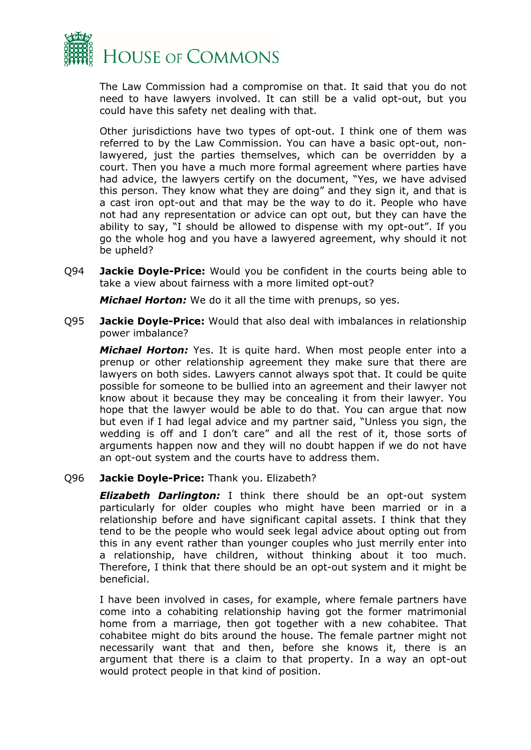

The Law Commission had a compromise on that. It said that you do not need to have lawyers involved. It can still be a valid opt-out, but you could have this safety net dealing with that.

Other jurisdictions have two types of opt-out. I think one of them was referred to by the Law Commission. You can have a basic opt-out, nonlawyered, just the parties themselves, which can be overridden by a court. Then you have a much more formal agreement where parties have had advice, the lawyers certify on the document, "Yes, we have advised this person. They know what they are doing" and they sign it, and that is a cast iron opt-out and that may be the way to do it. People who have not had any representation or advice can opt out, but they can have the ability to say, "I should be allowed to dispense with my opt-out". If you go the whole hog and you have a lawyered agreement, why should it not be upheld?

Q94 **Jackie Doyle-Price:** Would you be confident in the courts being able to take a view about fairness with a more limited opt-out?

*Michael Horton:* We do it all the time with prenups, so yes.

Q95 **Jackie Doyle-Price:** Would that also deal with imbalances in relationship power imbalance?

*Michael Horton:* Yes. It is quite hard. When most people enter into a prenup or other relationship agreement they make sure that there are lawyers on both sides. Lawyers cannot always spot that. It could be quite possible for someone to be bullied into an agreement and their lawyer not know about it because they may be concealing it from their lawyer. You hope that the lawyer would be able to do that. You can argue that now but even if I had legal advice and my partner said, "Unless you sign, the wedding is off and I don't care" and all the rest of it, those sorts of arguments happen now and they will no doubt happen if we do not have an opt-out system and the courts have to address them.

#### Q96 **Jackie Doyle-Price:** Thank you. Elizabeth?

*Elizabeth Darlington:* I think there should be an opt-out system particularly for older couples who might have been married or in a relationship before and have significant capital assets. I think that they tend to be the people who would seek legal advice about opting out from this in any event rather than younger couples who just merrily enter into a relationship, have children, without thinking about it too much. Therefore, I think that there should be an opt-out system and it might be beneficial.

I have been involved in cases, for example, where female partners have come into a cohabiting relationship having got the former matrimonial home from a marriage, then got together with a new cohabitee. That cohabitee might do bits around the house. The female partner might not necessarily want that and then, before she knows it, there is an argument that there is a claim to that property. In a way an opt-out would protect people in that kind of position.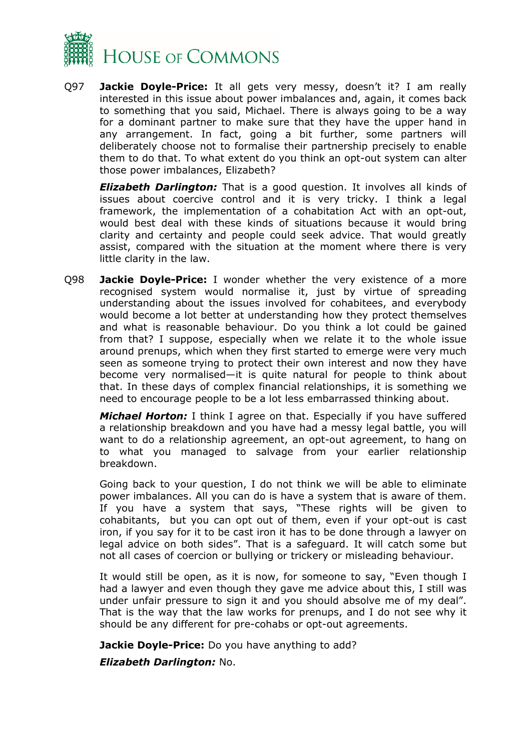

Q97 **Jackie Doyle-Price:** It all gets very messy, doesn't it? I am really interested in this issue about power imbalances and, again, it comes back to something that you said, Michael. There is always going to be a way for a dominant partner to make sure that they have the upper hand in any arrangement. In fact, going a bit further, some partners will deliberately choose not to formalise their partnership precisely to enable them to do that. To what extent do you think an opt-out system can alter those power imbalances, Elizabeth?

*Elizabeth Darlington:* That is a good question. It involves all kinds of issues about coercive control and it is very tricky. I think a legal framework, the implementation of a cohabitation Act with an opt-out, would best deal with these kinds of situations because it would bring clarity and certainty and people could seek advice. That would greatly assist, compared with the situation at the moment where there is very little clarity in the law.

Q98 **Jackie Doyle-Price:** I wonder whether the very existence of a more recognised system would normalise it, just by virtue of spreading understanding about the issues involved for cohabitees, and everybody would become a lot better at understanding how they protect themselves and what is reasonable behaviour. Do you think a lot could be gained from that? I suppose, especially when we relate it to the whole issue around prenups, which when they first started to emerge were very much seen as someone trying to protect their own interest and now they have become very normalised—it is quite natural for people to think about that. In these days of complex financial relationships, it is something we need to encourage people to be a lot less embarrassed thinking about.

*Michael Horton:* I think I agree on that. Especially if you have suffered a relationship breakdown and you have had a messy legal battle, you will want to do a relationship agreement, an opt-out agreement, to hang on to what you managed to salvage from your earlier relationship breakdown.

Going back to your question, I do not think we will be able to eliminate power imbalances. All you can do is have a system that is aware of them. If you have a system that says, "These rights will be given to cohabitants, but you can opt out of them, even if your opt-out is cast iron, if you say for it to be cast iron it has to be done through a lawyer on legal advice on both sides". That is a safeguard. It will catch some but not all cases of coercion or bullying or trickery or misleading behaviour.

It would still be open, as it is now, for someone to say, "Even though I had a lawyer and even though they gave me advice about this, I still was under unfair pressure to sign it and you should absolve me of my deal". That is the way that the law works for prenups, and I do not see why it should be any different for pre-cohabs or opt-out agreements.

**Jackie Doyle-Price:** Do you have anything to add?

*Elizabeth Darlington:* No.